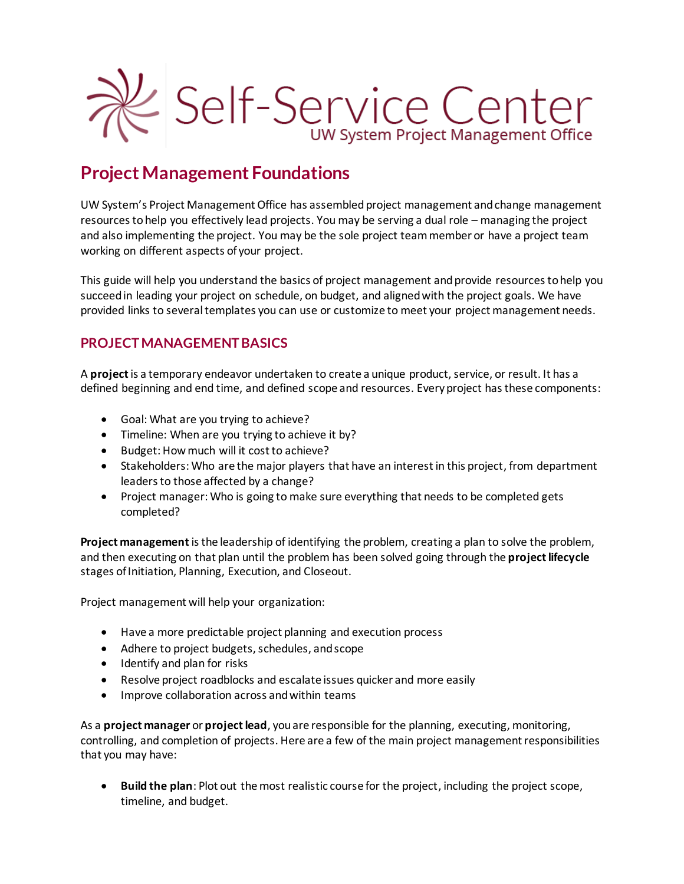

# **Project Management Foundations**

UW System's Project Management Office has assembled project management and change management resources to help you effectively lead projects. You may be serving a dual role – managing the project and also implementing the project. You may be the sole project team member or have a project team working on different aspects of your project.

This guide will help you understand the basics of project management and provide resourcesto help you succeed in leading your project on schedule, on budget, and aligned with the project goals. We have provided links to several templates you can use or customize to meet your project management needs.

## **PROJECT MANAGEMENT BASICS**

A **project**is a temporary endeavor undertaken to create a unique product, service, or result. It has a defined beginning and end time, and defined scope and resources. Every project has these components:

- Goal: What are you trying to achieve?
- Timeline: When are you trying to achieve it by?
- Budget: How much will it cost to achieve?
- Stakeholders: Who are the major players that have an interest in this project, from department leaders to those affected by a change?
- Project manager: Who is going to make sure everything that needs to be completed gets completed?

**Project management**is the leadership of identifying the problem, creating a plan to solve the problem, and then executing on that plan until the problem has been solved going through the **project lifecycle** stages of Initiation, Planning, Execution, and Closeout.

Project management will help your organization:

- Have a more predictable project planning and execution process
- Adhere to project budgets, schedules, and scope
- Identify and plan for risks
- Resolve project roadblocks and escalate issues quicker and more easily
- Improve collaboration across and within teams

As a **project manager** or **project lead**, you are responsible for the planning, executing, monitoring, controlling, and completion of projects. Here are a few of the main project management responsibilities that you may have:

• **Build the plan**: Plot out the most realistic course for the project, including the project scope, timeline, and budget.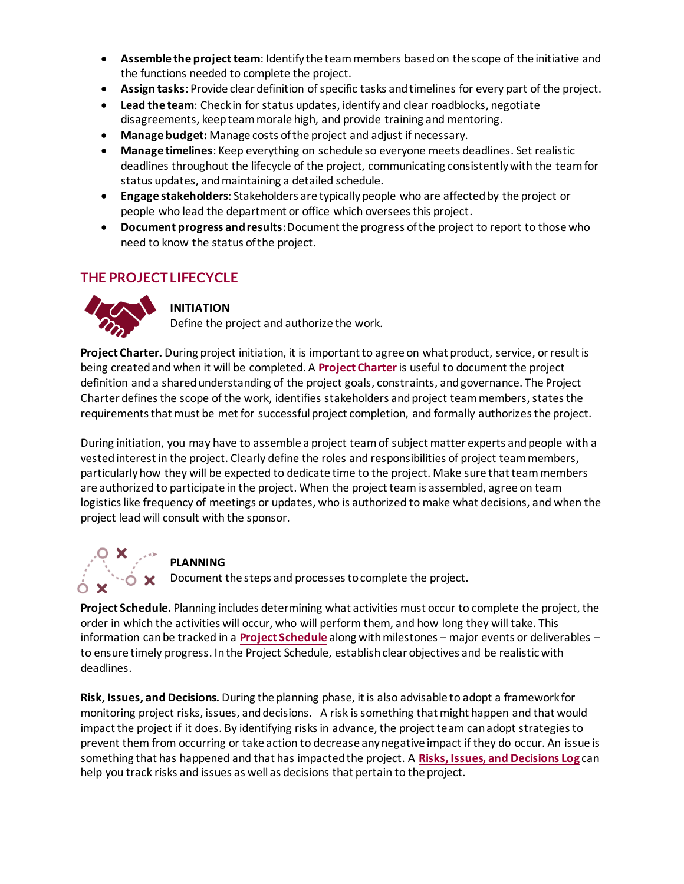- **Assemble the project team**: Identify the team members based on the scope of the initiative and the functions needed to complete the project.
- **Assign tasks**: Provide clear definition of specific tasks and timelines for every part of the project.
- **Lead the team**: Check in for status updates, identify and clear roadblocks, negotiate disagreements, keep team morale high, and provide training and mentoring.
- **Manage budget:** Manage costs of the project and adjust if necessary.
- **Manage timelines**: Keep everything on schedule so everyone meets deadlines. Set realistic deadlines throughout the lifecycle of the project, communicating consistently with the team for status updates, and maintaining a detailed schedule.
- **Engage stakeholders**: Stakeholders are typically people who are affected by the project or people who lead the department or office which oversees this project.
- **Document progress and results**: Document the progress of the project to report to those who need to know the status of the project.

## **THE PROJECT LIFECYCLE**



#### **INITIATION**

Define the project and authorize the work.

**Project Charter.** During project initiation, it is important to agree on what product, service, or result is being created and when it will be completed. A **[Project Charter](https://www.wisconsin.edu/pmo/download/Project-Charter.docx)**is useful to document the project definition and a shared understanding of the project goals, constraints, and governance. The Project Charter defines the scope of the work, identifies stakeholders and project team members, states the requirements that must be met for successful project completion, and formally authorizesthe project.

During initiation, you may have to assemble a project team of subject matter experts and people with a vested interest in the project. Clearly define the roles and responsibilities of project team members, particularly how they will be expected to dedicate time to the project. Make sure that team members are authorized to participate in the project. When the project team is assembled, agree on team logistics like frequency of meetings or updates, who is authorized to make what decisions, and when the project lead will consult with the sponsor.



#### **PLANNING**

 $\dot{\mathbf{O}}$   $\mathbf{\times}$  Document the steps and processes to complete the project.

**Project Schedule.** Planning includes determining what activities must occur to complete the project, the order in which the activities will occur, who will perform them, and how long they will take. This information can be tracked in a **[Project Schedule](https://www.wisconsin.edu/pmo/download/Project-Schedule.xlsx)** along with milestones – major events or deliverables – to ensure timely progress. In the Project Schedule, establish clear objectives and be realistic with deadlines.

**Risk, Issues, and Decisions.** During the planning phase, it is also advisable to adopt a framework for monitoring project risks, issues, and decisions. A risk is something that might happen and that would impact the project if it does. By identifying risks in advance, the project team can adopt strategies to prevent them from occurring or take action to decrease any negative impact if they do occur. An issue is something that has happened and that has impacted the project. A **[Risks, Issues, and Decisions Log](https://www.wisconsin.edu/pmo/download/Risks-Issues-and-Decisions.xlsx)** can help you track risks and issues as well as decisions that pertain to the project.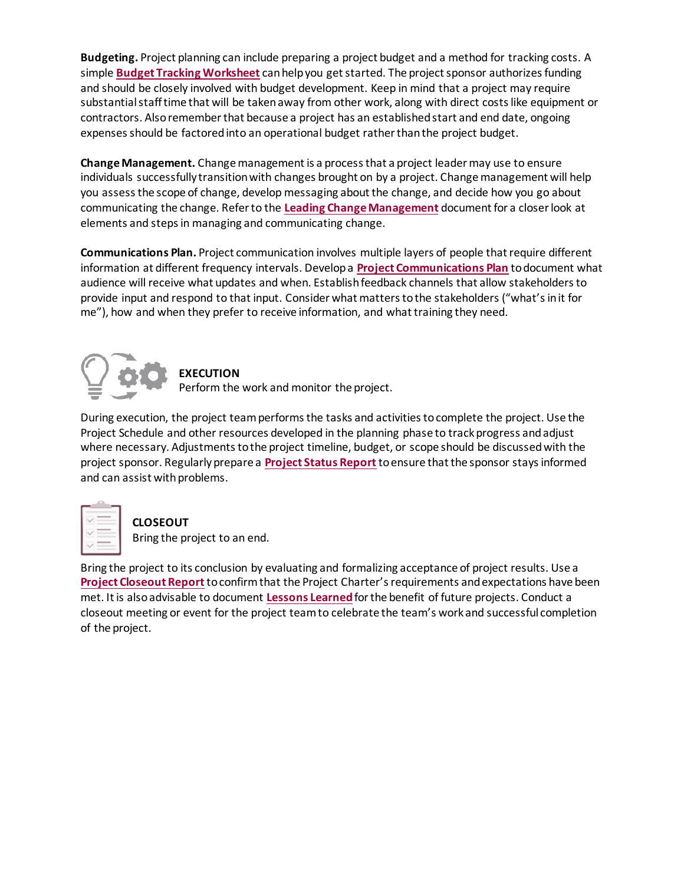**Budgeting.** Project planning can include preparing a project budget and a method for tracking costs. A simple **[Budget Tracking Worksheet](https://www.wisconsin.edu/pmo/download/Budget-Tracking-Worksheet.xlsx)** can help you get started. The project sponsor authorizes funding and should be closely involved with budget development. Keep in mind that a project may require substantial staff time that will be taken away from other work, along with direct costs like equipment or contractors. Also remember that because a project has an established start and end date, ongoing expenses should be factored into an operational budget rather than the project budget.

**Change Management.** Change management is a process that a project leader may use to ensure individuals successfully transition with changes brought on by a project. Change management will help you assess the scope of change, develop messaging about the change, and decide how you go about communicating the change. Refer to the **[Leading Change Management](https://www.wisconsin.edu/pmo/download/Leading-Change-Management.pdf)** document for a closer look at elements and steps in managing and communicating change.

**Communications Plan.** Project communication involves multiple layers of people that require different information at different frequency intervals. Develop a **[Project Communications Plan](https://www.wisconsin.edu/pmo/download/Project-Communications-Plan.docx)** to document what audience will receive what updates and when. Establish feedback channels that allow stakeholders to provide input and respond to that input. Consider what matters to the stakeholders ("what's in it for me"), how and when they prefer to receive information, and what training they need.



## **EXECUTION**

Perform the work and monitor the project.

During execution, the project team performs the tasks and activities to complete the project. Use the Project Schedule and other resources developed in the planning phase to track progress and adjust where necessary. Adjustments to the project timeline, budget, or scope should be discussed with the project sponsor. Regularly prepare a **[Project Status Report](https://www.wisconsin.edu/pmo/download/Project-Status-Report.docx)** to ensure that the sponsor stays informed and can assist with problems.



#### **CLOSEOUT**

Bring the project to an end.

Bring the project to its conclusion by evaluating and formalizing acceptance of project results. Use a **[Project Closeout Report](https://www.wisconsin.edu/pmo/download/Project-Closeout-Report.docx)** to confirm that the Project Charter's requirements and expectations have been met. It is also advisable to document **[Lessons Learned](https://www.wisconsin.edu/pmo/download/Lessons-Learned.docx)**for the benefit of future projects. Conduct a closeout meeting or event for the project team to celebrate the team's work and successful completion of the project.